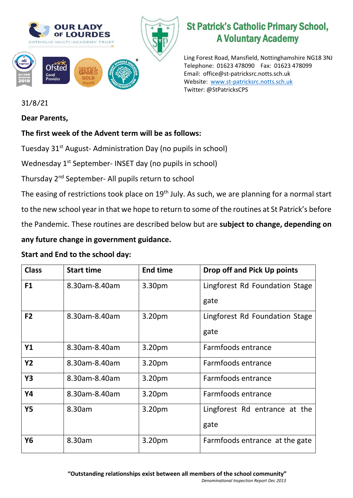

# St Patrick's Catholic Primary School, A Voluntary Academy

Ling Forest Road, Mansfield, Nottinghamshire NG18 3NJ Telephone: 01623 478090 Fax: 01623 478099 Email: office@st-patricksrc.notts.sch.uk Website: [www.st-patricksrc.notts.sch.uk](http://www.st-patricksrc.notts.sch.uk/) Twitter: @StPatricksCPS

## 31/8/21

#### **Dear Parents,**

### **The first week of the Advent term will be as follows:**

Tuesday 31<sup>st</sup> August- Administration Day (no pupils in school)

Wednesday 1<sup>st</sup> September- INSET day (no pupils in school)

Thursday 2nd September- All pupils return to school

The easing of restrictions took place on 19<sup>th</sup> July. As such, we are planning for a normal start

to the new school year in that we hope to return to some of the routines at St Patrick's before

the Pandemic. These routines are described below but are **subject to change, depending on** 

### **any future change in government guidance.**

#### **Start and End to the school day:**

| <b>Class</b>   | <b>Start time</b> | <b>End time</b>    | Drop off and Pick Up points            |
|----------------|-------------------|--------------------|----------------------------------------|
| F1             | 8.30am-8.40am     | 3.30pm             | Lingforest Rd Foundation Stage<br>gate |
| F <sub>2</sub> | 8.30am-8.40am     | 3.20pm             | Lingforest Rd Foundation Stage<br>gate |
| <b>Y1</b>      | 8.30am-8.40am     | 3.20 <sub>pm</sub> | Farmfoods entrance                     |
| <b>Y2</b>      | 8.30am-8.40am     | 3.20pm             | Farmfoods entrance                     |
| <b>Y3</b>      | 8.30am-8.40am     | 3.20pm             | Farmfoods entrance                     |
| Y4             | 8.30am-8.40am     | 3.20pm             | Farmfoods entrance                     |
| <b>Y5</b>      | 8.30am            | 3.20pm             | Lingforest Rd entrance at the<br>gate  |
| Y6             | 8.30am            | 3.20pm             | Farmfoods entrance at the gate         |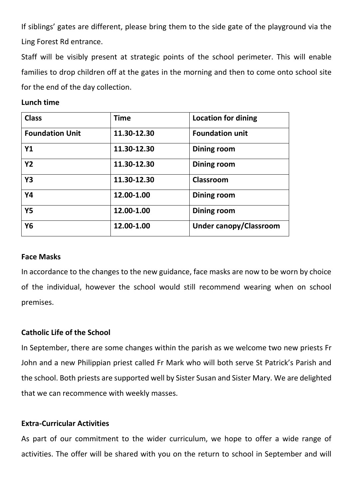If siblings' gates are different, please bring them to the side gate of the playground via the Ling Forest Rd entrance.

Staff will be visibly present at strategic points of the school perimeter. This will enable families to drop children off at the gates in the morning and then to come onto school site for the end of the day collection.

#### **Lunch time**

| <b>Class</b>           | <b>Time</b> | <b>Location for dining</b>    |
|------------------------|-------------|-------------------------------|
| <b>Foundation Unit</b> | 11.30-12.30 | <b>Foundation unit</b>        |
| Y1                     | 11.30-12.30 | <b>Dining room</b>            |
| <b>Y2</b>              | 11.30-12.30 | Dining room                   |
| <b>Y3</b>              | 11.30-12.30 | Classroom                     |
| Y4                     | 12.00-1.00  | Dining room                   |
| <b>Y5</b>              | 12.00-1.00  | <b>Dining room</b>            |
| Y <sub>6</sub>         | 12.00-1.00  | <b>Under canopy/Classroom</b> |

#### **Face Masks**

In accordance to the changes to the new guidance, face masks are now to be worn by choice of the individual, however the school would still recommend wearing when on school premises.

#### **Catholic Life of the School**

In September, there are some changes within the parish as we welcome two new priests Fr John and a new Philippian priest called Fr Mark who will both serve St Patrick's Parish and the school. Both priests are supported well by Sister Susan and Sister Mary. We are delighted that we can recommence with weekly masses.

#### **Extra-Curricular Activities**

As part of our commitment to the wider curriculum, we hope to offer a wide range of activities. The offer will be shared with you on the return to school in September and will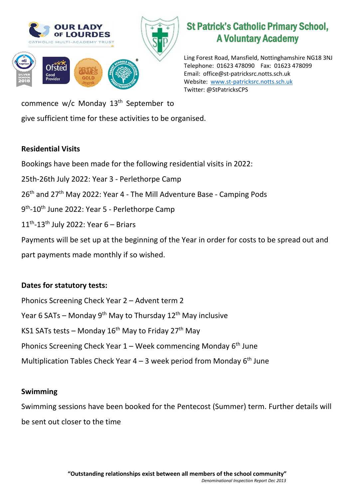

# St Patrick's Catholic Primary School, A Voluntary Academy

Ling Forest Road, Mansfield, Nottinghamshire NG18 3NJ Telephone: 01623 478090 Fax: 01623 478099 Email: office@st-patricksrc.notts.sch.uk Website: [www.st-patricksrc.notts.sch.uk](http://www.st-patricksrc.notts.sch.uk/) Twitter: @StPatricksCPS

commence w/c Monday 13<sup>th</sup> September to

give sufficient time for these activities to be organised.

## **Residential Visits**

Bookings have been made for the following residential visits in 2022:

- 25th-26th July 2022: Year 3 Perlethorpe Camp
- 26<sup>th</sup> and 27<sup>th</sup> May 2022: Year 4 The Mill Adventure Base Camping Pods
- 9<sup>th</sup>-10<sup>th</sup> June 2022: Year 5 Perlethorpe Camp
- $11<sup>th</sup> 13<sup>th</sup>$  July 2022: Year 6 Briars

Payments will be set up at the beginning of the Year in order for costs to be spread out and part payments made monthly if so wished.

## **Dates for statutory tests:**

Phonics Screening Check Year 2 – Advent term 2 Year 6 SATs – Monday  $9^{th}$  May to Thursday  $12^{th}$  May inclusive KS1 SATs tests – Monday  $16<sup>th</sup>$  May to Friday 27<sup>th</sup> May Phonics Screening Check Year  $1 -$  Week commencing Monday  $6<sup>th</sup>$  June Multiplication Tables Check Year  $4 - 3$  week period from Monday 6<sup>th</sup> June

#### **Swimming**

Swimming sessions have been booked for the Pentecost (Summer) term. Further details will be sent out closer to the time